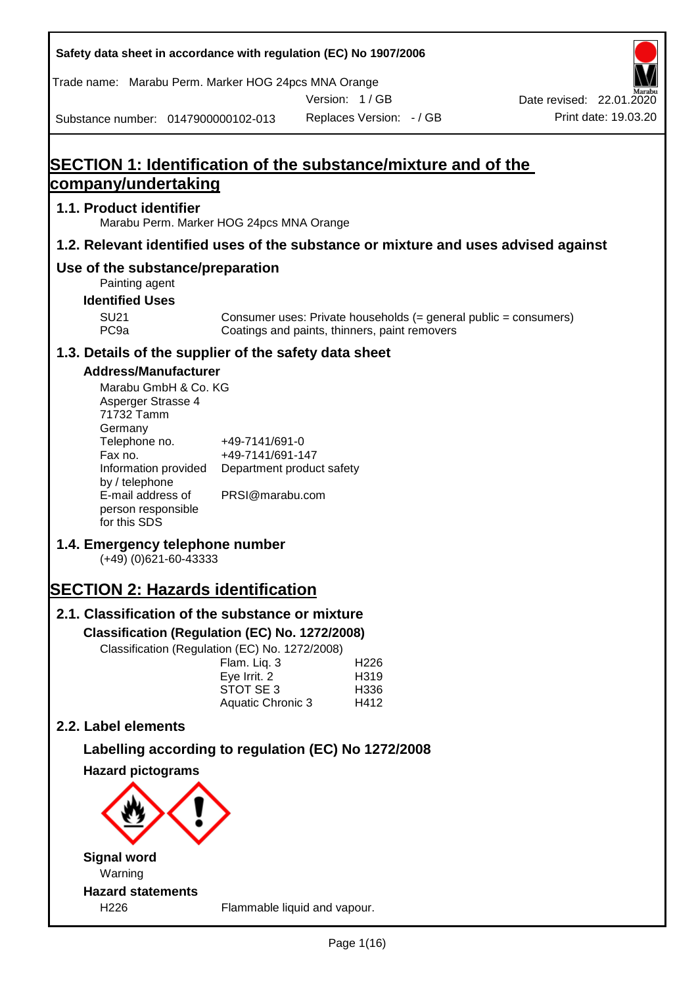| Safety data sheet in accordance with regulation (EC) No 1907/2006                           |                                                                 |                                                                                                                   |                                                  |
|---------------------------------------------------------------------------------------------|-----------------------------------------------------------------|-------------------------------------------------------------------------------------------------------------------|--------------------------------------------------|
| Trade name: Marabu Perm. Marker HOG 24pcs MNA Orange                                        |                                                                 | Version: 1/GB                                                                                                     |                                                  |
| Substance number: 0147900000102-013                                                         |                                                                 | Replaces Version: - / GB                                                                                          | Date revised: 22.01.2020<br>Print date: 19.03.20 |
|                                                                                             |                                                                 |                                                                                                                   |                                                  |
| <b>SECTION 1: Identification of the substance/mixture and of the</b><br>company/undertaking |                                                                 |                                                                                                                   |                                                  |
| 1.1. Product identifier                                                                     |                                                                 |                                                                                                                   |                                                  |
| Marabu Perm. Marker HOG 24pcs MNA Orange                                                    |                                                                 |                                                                                                                   |                                                  |
| 1.2. Relevant identified uses of the substance or mixture and uses advised against          |                                                                 |                                                                                                                   |                                                  |
| Use of the substance/preparation<br>Painting agent                                          |                                                                 |                                                                                                                   |                                                  |
| <b>Identified Uses</b>                                                                      |                                                                 |                                                                                                                   |                                                  |
| <b>SU21</b><br>PC <sub>9a</sub>                                                             |                                                                 | Consumer uses: Private households (= general public = consumers)<br>Coatings and paints, thinners, paint removers |                                                  |
| 1.3. Details of the supplier of the safety data sheet                                       |                                                                 |                                                                                                                   |                                                  |
| <b>Address/Manufacturer</b>                                                                 |                                                                 |                                                                                                                   |                                                  |
| Marabu GmbH & Co. KG<br>Asperger Strasse 4<br>71732 Tamm<br>Germany                         |                                                                 |                                                                                                                   |                                                  |
| Telephone no.<br>Fax no.<br>Information provided                                            | +49-7141/691-0<br>+49-7141/691-147<br>Department product safety |                                                                                                                   |                                                  |
| by / telephone<br>E-mail address of                                                         | PRSI@marabu.com                                                 |                                                                                                                   |                                                  |
| person responsible<br>for this SDS                                                          |                                                                 |                                                                                                                   |                                                  |
| 1.4. Emergency telephone number<br>(+49) (0)621-60-43333                                    |                                                                 |                                                                                                                   |                                                  |
| <b>SECTION 2: Hazards identification</b>                                                    |                                                                 |                                                                                                                   |                                                  |
| 2.1. Classification of the substance or mixture                                             |                                                                 |                                                                                                                   |                                                  |
| Classification (Regulation (EC) No. 1272/2008)                                              |                                                                 |                                                                                                                   |                                                  |
| Classification (Regulation (EC) No. 1272/2008)                                              | Flam. Liq. 3                                                    | H <sub>226</sub>                                                                                                  |                                                  |
|                                                                                             | Eye Irrit. 2<br>STOT SE 3                                       | H319<br>H336                                                                                                      |                                                  |
|                                                                                             | <b>Aquatic Chronic 3</b>                                        | H412                                                                                                              |                                                  |
| 2.2. Label elements                                                                         |                                                                 |                                                                                                                   |                                                  |
|                                                                                             |                                                                 | Labelling according to regulation (EC) No 1272/2008                                                               |                                                  |
| <b>Hazard pictograms</b>                                                                    |                                                                 |                                                                                                                   |                                                  |
|                                                                                             |                                                                 |                                                                                                                   |                                                  |
| <b>Signal word</b><br>Warning                                                               |                                                                 |                                                                                                                   |                                                  |
| <b>Hazard statements</b>                                                                    |                                                                 |                                                                                                                   |                                                  |
| H226                                                                                        |                                                                 | Flammable liquid and vapour.                                                                                      |                                                  |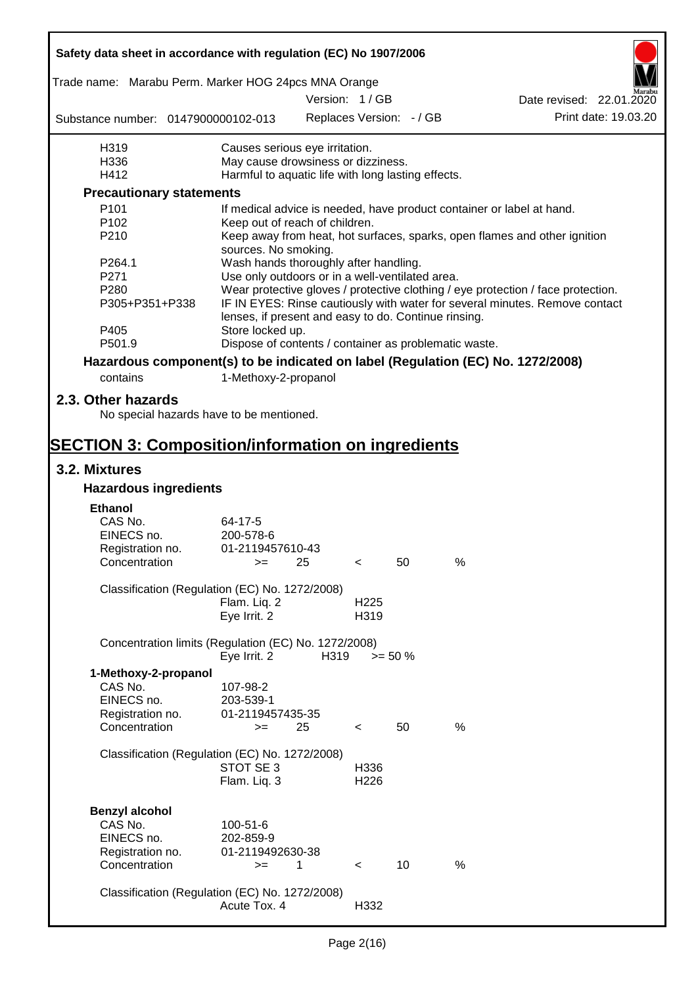| Safety data sheet in accordance with regulation (EC) No 1907/2006 |                                                       |      |                          |                          |                                                                                  |  |
|-------------------------------------------------------------------|-------------------------------------------------------|------|--------------------------|--------------------------|----------------------------------------------------------------------------------|--|
| Trade name: Marabu Perm. Marker HOG 24pcs MNA Orange              |                                                       |      | Version: 1/GB            |                          | Date revised: 22.01.2020                                                         |  |
| Substance number: 0147900000102-013                               |                                                       |      |                          | Replaces Version: - / GB | Print date: 19.03.20                                                             |  |
|                                                                   |                                                       |      |                          |                          |                                                                                  |  |
| H319                                                              | Causes serious eye irritation.                        |      |                          |                          |                                                                                  |  |
| H336                                                              | May cause drowsiness or dizziness.                    |      |                          |                          |                                                                                  |  |
| H412                                                              | Harmful to aquatic life with long lasting effects.    |      |                          |                          |                                                                                  |  |
| <b>Precautionary statements</b>                                   |                                                       |      |                          |                          |                                                                                  |  |
| P <sub>101</sub>                                                  |                                                       |      |                          |                          | If medical advice is needed, have product container or label at hand.            |  |
| P <sub>102</sub>                                                  | Keep out of reach of children.                        |      |                          |                          |                                                                                  |  |
| P210                                                              | sources. No smoking.                                  |      |                          |                          | Keep away from heat, hot surfaces, sparks, open flames and other ignition        |  |
| P264.1                                                            | Wash hands thoroughly after handling.                 |      |                          |                          |                                                                                  |  |
| P271                                                              | Use only outdoors or in a well-ventilated area.       |      |                          |                          |                                                                                  |  |
| P280                                                              |                                                       |      |                          |                          | Wear protective gloves / protective clothing / eye protection / face protection. |  |
| P305+P351+P338                                                    | lenses, if present and easy to do. Continue rinsing.  |      |                          |                          | IF IN EYES: Rinse cautiously with water for several minutes. Remove contact      |  |
| P405                                                              | Store locked up.                                      |      |                          |                          |                                                                                  |  |
| P501.9                                                            | Dispose of contents / container as problematic waste. |      |                          |                          |                                                                                  |  |
|                                                                   |                                                       |      |                          |                          | Hazardous component(s) to be indicated on label (Regulation (EC) No. 1272/2008)  |  |
| contains                                                          | 1-Methoxy-2-propanol                                  |      |                          |                          |                                                                                  |  |
| 2.3. Other hazards                                                |                                                       |      |                          |                          |                                                                                  |  |
| No special hazards have to be mentioned.                          |                                                       |      |                          |                          |                                                                                  |  |
| <b>SECTION 3: Composition/information on ingredients</b>          |                                                       |      |                          |                          |                                                                                  |  |
| 3.2. Mixtures                                                     |                                                       |      |                          |                          |                                                                                  |  |
| <b>Hazardous ingredients</b>                                      |                                                       |      |                          |                          |                                                                                  |  |
| <b>Ethanol</b>                                                    |                                                       |      |                          |                          |                                                                                  |  |
| CAS No.                                                           | 64-17-5                                               |      |                          |                          |                                                                                  |  |
| EINECS no.                                                        | 200-578-6                                             |      |                          |                          |                                                                                  |  |
| Registration no.                                                  | 01-2119457610-43                                      |      |                          |                          |                                                                                  |  |
| Concentration                                                     | $>=$ 25                                               |      | $\epsilon$               | 50                       | $\%$                                                                             |  |
|                                                                   |                                                       |      |                          |                          |                                                                                  |  |
| Classification (Regulation (EC) No. 1272/2008)                    |                                                       |      |                          |                          |                                                                                  |  |
|                                                                   | Flam. Liq. 2                                          |      | H <sub>225</sub>         |                          |                                                                                  |  |
|                                                                   | Eye Irrit. 2                                          |      | H319                     |                          |                                                                                  |  |
| Concentration limits (Regulation (EC) No. 1272/2008)              | Eye Irrit. 2                                          | H319 |                          |                          |                                                                                  |  |
|                                                                   |                                                       |      | $>= 50 \%$               |                          |                                                                                  |  |
| 1-Methoxy-2-propanol                                              |                                                       |      |                          |                          |                                                                                  |  |
| CAS No.                                                           | 107-98-2                                              |      |                          |                          |                                                                                  |  |
| EINECS no.                                                        | 203-539-1                                             |      |                          |                          |                                                                                  |  |
| Registration no.                                                  | 01-2119457435-35                                      |      |                          |                          |                                                                                  |  |
| Concentration                                                     | $=$                                                   | 25   | $\overline{\phantom{0}}$ | 50                       | %                                                                                |  |
| Classification (Regulation (EC) No. 1272/2008)                    |                                                       |      |                          |                          |                                                                                  |  |
|                                                                   | STOT SE 3                                             |      | H336                     |                          |                                                                                  |  |
|                                                                   | Flam. Liq. 3                                          |      | H <sub>226</sub>         |                          |                                                                                  |  |
|                                                                   |                                                       |      |                          |                          |                                                                                  |  |
| <b>Benzyl alcohol</b>                                             |                                                       |      |                          |                          |                                                                                  |  |
| CAS No.                                                           | 100-51-6                                              |      |                          |                          |                                                                                  |  |
| EINECS no.                                                        | 202-859-9                                             |      |                          |                          |                                                                                  |  |
|                                                                   | 01-2119492630-38                                      |      |                          |                          |                                                                                  |  |
| Registration no.<br>Concentration                                 | $>=$                                                  | 1    | $\prec$                  | 10                       | $\%$                                                                             |  |
|                                                                   |                                                       |      |                          |                          |                                                                                  |  |
| Classification (Regulation (EC) No. 1272/2008)                    |                                                       |      |                          |                          |                                                                                  |  |
|                                                                   | Acute Tox. 4                                          |      | H332                     |                          |                                                                                  |  |
|                                                                   |                                                       |      |                          |                          |                                                                                  |  |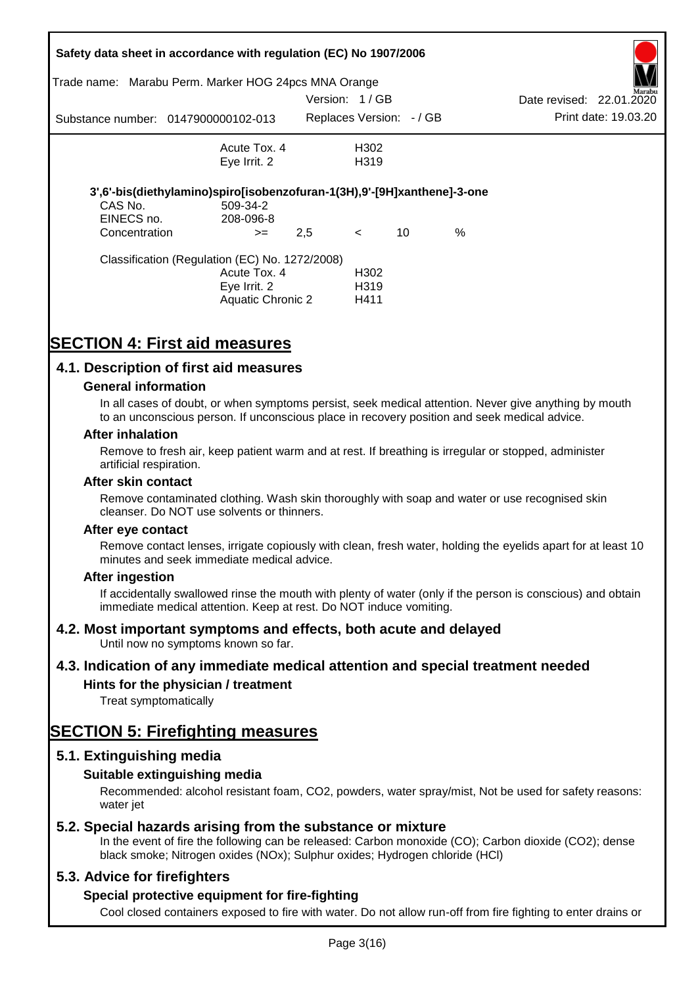|               | Safety data sheet in accordance with regulation (EC) No 1907/2006       |               |                          |    |      |                          |                      |
|---------------|-------------------------------------------------------------------------|---------------|--------------------------|----|------|--------------------------|----------------------|
| Trade name:   | Marabu Perm. Marker HOG 24pcs MNA Orange                                |               |                          |    |      |                          | Marabu               |
|               |                                                                         | Version: 1/GB |                          |    |      | Date revised: 22.01.2020 |                      |
|               | Substance number: 0147900000102-013                                     |               | Replaces Version: - / GB |    |      |                          | Print date: 19.03.20 |
|               | Acute Tox. 4                                                            |               | H302                     |    |      |                          |                      |
|               | Eye Irrit. 2                                                            |               | H <sub>3</sub> 19        |    |      |                          |                      |
|               | 3',6'-bis(diethylamino)spiro[isobenzofuran-1(3H),9'-[9H]xanthene]-3-one |               |                          |    |      |                          |                      |
| CAS No.       | 509-34-2                                                                |               |                          |    |      |                          |                      |
| EINECS no.    | 208-096-8                                                               |               |                          |    |      |                          |                      |
| Concentration | $>=$                                                                    | 2,5           | $\prec$                  | 10 | $\%$ |                          |                      |
|               | Classification (Regulation (EC) No. 1272/2008)                          |               |                          |    |      |                          |                      |
|               | Acute Tox. 4                                                            |               | H <sub>302</sub>         |    |      |                          |                      |
|               | Eye Irrit. 2                                                            |               | H <sub>3</sub> 19        |    |      |                          |                      |
|               | Aquatic Chronic 2                                                       |               | H411                     |    |      |                          |                      |

# **SECTION 4: First aid measures**

### **4.1. Description of first aid measures**

#### **General information**

In all cases of doubt, or when symptoms persist, seek medical attention. Never give anything by mouth to an unconscious person. If unconscious place in recovery position and seek medical advice.

#### **After inhalation**

Remove to fresh air, keep patient warm and at rest. If breathing is irregular or stopped, administer artificial respiration.

#### **After skin contact**

Remove contaminated clothing. Wash skin thoroughly with soap and water or use recognised skin cleanser. Do NOT use solvents or thinners.

#### **After eye contact**

Remove contact lenses, irrigate copiously with clean, fresh water, holding the eyelids apart for at least 10 minutes and seek immediate medical advice.

#### **After ingestion**

If accidentally swallowed rinse the mouth with plenty of water (only if the person is conscious) and obtain immediate medical attention. Keep at rest. Do NOT induce vomiting.

#### **4.2. Most important symptoms and effects, both acute and delayed**

Until now no symptoms known so far.

#### **4.3. Indication of any immediate medical attention and special treatment needed**

#### **Hints for the physician / treatment**

Treat symptomatically

## **SECTION 5: Firefighting measures**

#### **5.1. Extinguishing media**

#### **Suitable extinguishing media**

Recommended: alcohol resistant foam, CO2, powders, water spray/mist, Not be used for safety reasons: water *iet* 

#### **5.2. Special hazards arising from the substance or mixture**

In the event of fire the following can be released: Carbon monoxide (CO); Carbon dioxide (CO2); dense black smoke; Nitrogen oxides (NOx); Sulphur oxides; Hydrogen chloride (HCl)

#### **5.3. Advice for firefighters**

#### **Special protective equipment for fire-fighting**

Cool closed containers exposed to fire with water. Do not allow run-off from fire fighting to enter drains or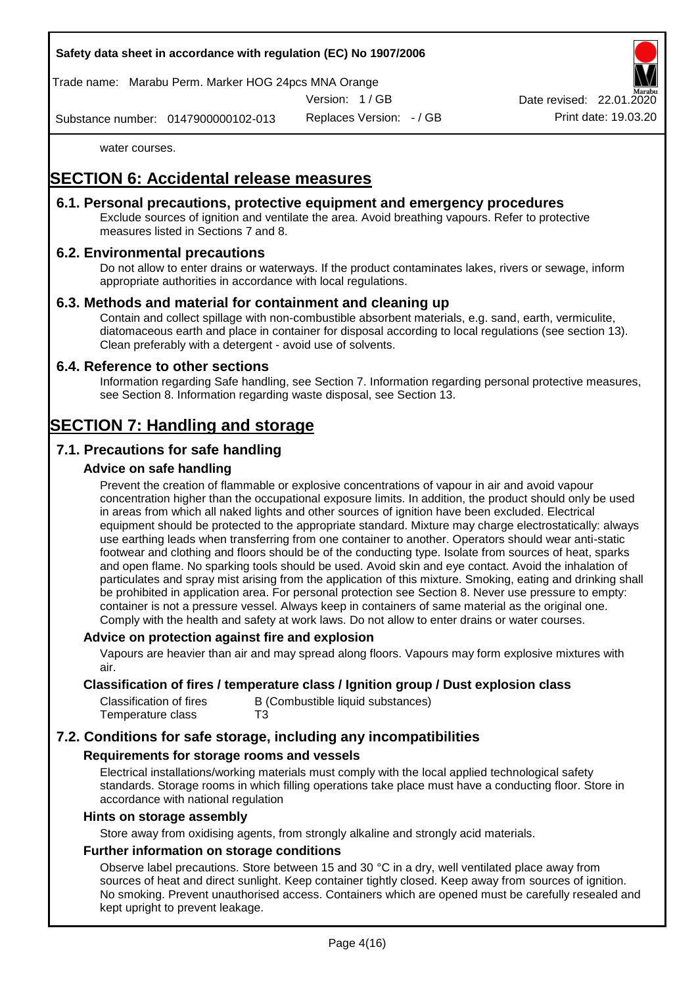Trade name: Marabu Perm. Marker HOG 24pcs MNA Orange

Version: 1 / GB

Replaces Version: - / GB Print date: 19.03.20 Date revised: 22.01.

Substance number: 0147900000102-013

water courses.

# **SECTION 6: Accidental release measures**

#### **6.1. Personal precautions, protective equipment and emergency procedures**

Exclude sources of ignition and ventilate the area. Avoid breathing vapours. Refer to protective measures listed in Sections 7 and 8.

#### **6.2. Environmental precautions**

Do not allow to enter drains or waterways. If the product contaminates lakes, rivers or sewage, inform appropriate authorities in accordance with local regulations.

#### **6.3. Methods and material for containment and cleaning up**

Contain and collect spillage with non-combustible absorbent materials, e.g. sand, earth, vermiculite, diatomaceous earth and place in container for disposal according to local regulations (see section 13). Clean preferably with a detergent - avoid use of solvents.

#### **6.4. Reference to other sections**

Information regarding Safe handling, see Section 7. Information regarding personal protective measures, see Section 8. Information regarding waste disposal, see Section 13.

# **SECTION 7: Handling and storage**

### **7.1. Precautions for safe handling**

#### **Advice on safe handling**

Prevent the creation of flammable or explosive concentrations of vapour in air and avoid vapour concentration higher than the occupational exposure limits. In addition, the product should only be used in areas from which all naked lights and other sources of ignition have been excluded. Electrical equipment should be protected to the appropriate standard. Mixture may charge electrostatically: always use earthing leads when transferring from one container to another. Operators should wear anti-static footwear and clothing and floors should be of the conducting type. Isolate from sources of heat, sparks and open flame. No sparking tools should be used. Avoid skin and eye contact. Avoid the inhalation of particulates and spray mist arising from the application of this mixture. Smoking, eating and drinking shall be prohibited in application area. For personal protection see Section 8. Never use pressure to empty: container is not a pressure vessel. Always keep in containers of same material as the original one. Comply with the health and safety at work laws. Do not allow to enter drains or water courses.

#### **Advice on protection against fire and explosion**

Vapours are heavier than air and may spread along floors. Vapours may form explosive mixtures with air.

#### **Classification of fires / temperature class / Ignition group / Dust explosion class**

| Classification of fires | B (Combustible liquid substances) |
|-------------------------|-----------------------------------|
| Temperature class       | T3                                |

### **7.2. Conditions for safe storage, including any incompatibilities**

#### **Requirements for storage rooms and vessels**

Electrical installations/working materials must comply with the local applied technological safety standards. Storage rooms in which filling operations take place must have a conducting floor. Store in accordance with national regulation

#### **Hints on storage assembly**

Store away from oxidising agents, from strongly alkaline and strongly acid materials.

#### **Further information on storage conditions**

Observe label precautions. Store between 15 and 30 °C in a dry, well ventilated place away from sources of heat and direct sunlight. Keep container tightly closed. Keep away from sources of ignition. No smoking. Prevent unauthorised access. Containers which are opened must be carefully resealed and kept upright to prevent leakage.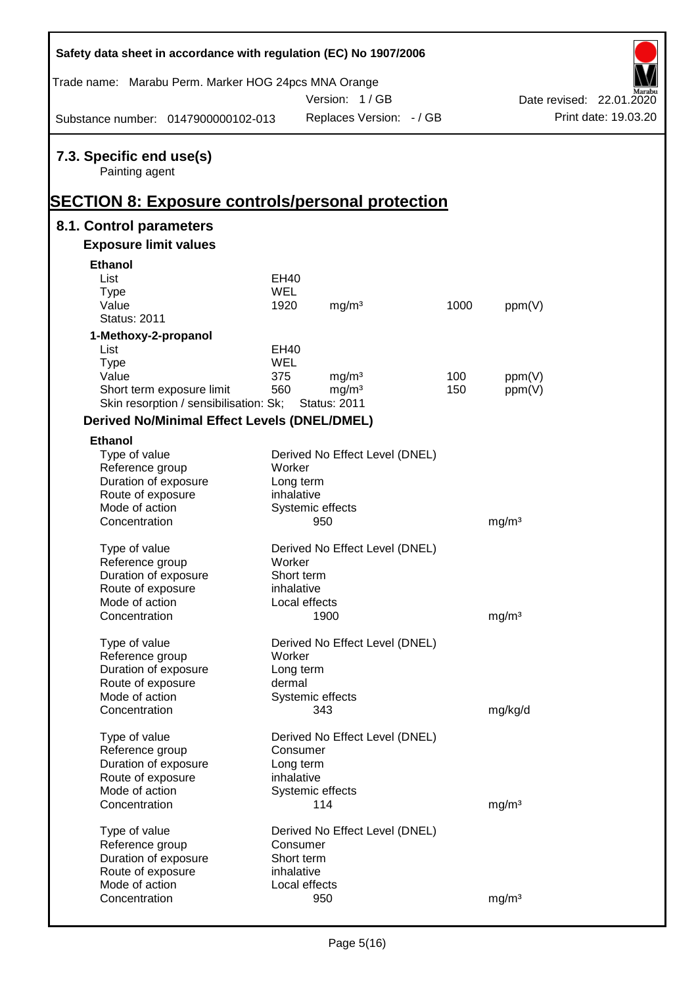| Safety data sheet in accordance with regulation (EC) No 1907/2006                                     |                         |                                          |            |                   |                          |
|-------------------------------------------------------------------------------------------------------|-------------------------|------------------------------------------|------------|-------------------|--------------------------|
| Trade name: Marabu Perm. Marker HOG 24pcs MNA Orange                                                  |                         | Version: 1/GB                            |            |                   | Date revised: 22.01.2020 |
| Substance number: 0147900000102-013                                                                   |                         | Replaces Version: - / GB                 |            |                   | Print date: 19.03.20     |
| 7.3. Specific end use(s)<br>Painting agent<br><b>SECTION 8: Exposure controls/personal protection</b> |                         |                                          |            |                   |                          |
| 8.1. Control parameters                                                                               |                         |                                          |            |                   |                          |
| <b>Exposure limit values</b>                                                                          |                         |                                          |            |                   |                          |
| <b>Ethanol</b>                                                                                        |                         |                                          |            |                   |                          |
| List                                                                                                  | EH40                    |                                          |            |                   |                          |
| <b>Type</b>                                                                                           | <b>WEL</b>              |                                          |            |                   |                          |
| Value                                                                                                 | 1920                    | mg/m <sup>3</sup>                        | 1000       | ppm(V)            |                          |
| <b>Status: 2011</b>                                                                                   |                         |                                          |            |                   |                          |
| 1-Methoxy-2-propanol                                                                                  |                         |                                          |            |                   |                          |
| List                                                                                                  | EH40                    |                                          |            |                   |                          |
| <b>Type</b>                                                                                           | <b>WEL</b>              |                                          |            |                   |                          |
| Value                                                                                                 | 375<br>560              | mg/m <sup>3</sup>                        | 100<br>150 | ppm(V)            |                          |
| Short term exposure limit<br>Skin resorption / sensibilisation: Sk;                                   |                         | mg/m <sup>3</sup><br><b>Status: 2011</b> |            | ppm(V)            |                          |
|                                                                                                       |                         |                                          |            |                   |                          |
| <b>Derived No/Minimal Effect Levels (DNEL/DMEL)</b>                                                   |                         |                                          |            |                   |                          |
| <b>Ethanol</b>                                                                                        |                         |                                          |            |                   |                          |
| Type of value                                                                                         |                         | Derived No Effect Level (DNEL)           |            |                   |                          |
| Reference group                                                                                       | Worker                  |                                          |            |                   |                          |
| Duration of exposure<br>Route of exposure                                                             | Long term<br>inhalative |                                          |            |                   |                          |
| Mode of action                                                                                        |                         | Systemic effects                         |            |                   |                          |
| Concentration                                                                                         |                         | 950                                      |            | mg/m <sup>3</sup> |                          |
|                                                                                                       |                         |                                          |            |                   |                          |
| Type of value                                                                                         |                         | Derived No Effect Level (DNEL)           |            |                   |                          |
| Reference group                                                                                       | Worker                  |                                          |            |                   |                          |
| Duration of exposure                                                                                  | Short term              |                                          |            |                   |                          |
| Route of exposure                                                                                     | inhalative              |                                          |            |                   |                          |
| Mode of action                                                                                        |                         | Local effects                            |            |                   |                          |
| Concentration                                                                                         |                         | 1900                                     |            | mg/m <sup>3</sup> |                          |
|                                                                                                       |                         | Derived No Effect Level (DNEL)           |            |                   |                          |
| Type of value<br>Reference group                                                                      | Worker                  |                                          |            |                   |                          |
| Duration of exposure                                                                                  | Long term               |                                          |            |                   |                          |
| Route of exposure                                                                                     | dermal                  |                                          |            |                   |                          |
| Mode of action                                                                                        |                         | Systemic effects                         |            |                   |                          |
| Concentration                                                                                         |                         | 343                                      |            | mg/kg/d           |                          |
|                                                                                                       |                         |                                          |            |                   |                          |
| Type of value                                                                                         |                         | Derived No Effect Level (DNEL)           |            |                   |                          |
| Reference group                                                                                       | Consumer                |                                          |            |                   |                          |
| Duration of exposure                                                                                  | Long term               |                                          |            |                   |                          |
| Route of exposure<br>Mode of action                                                                   | inhalative              |                                          |            |                   |                          |
| Concentration                                                                                         |                         | Systemic effects<br>114                  |            |                   |                          |
|                                                                                                       |                         |                                          |            | mg/m <sup>3</sup> |                          |
| Type of value                                                                                         |                         | Derived No Effect Level (DNEL)           |            |                   |                          |
| Reference group                                                                                       | Consumer                |                                          |            |                   |                          |
| Duration of exposure                                                                                  | Short term              |                                          |            |                   |                          |
| Route of exposure                                                                                     | inhalative              |                                          |            |                   |                          |
| Mode of action                                                                                        |                         | Local effects                            |            |                   |                          |
| Concentration                                                                                         |                         | 950                                      |            | mg/m <sup>3</sup> |                          |

 $\mathsf{r}$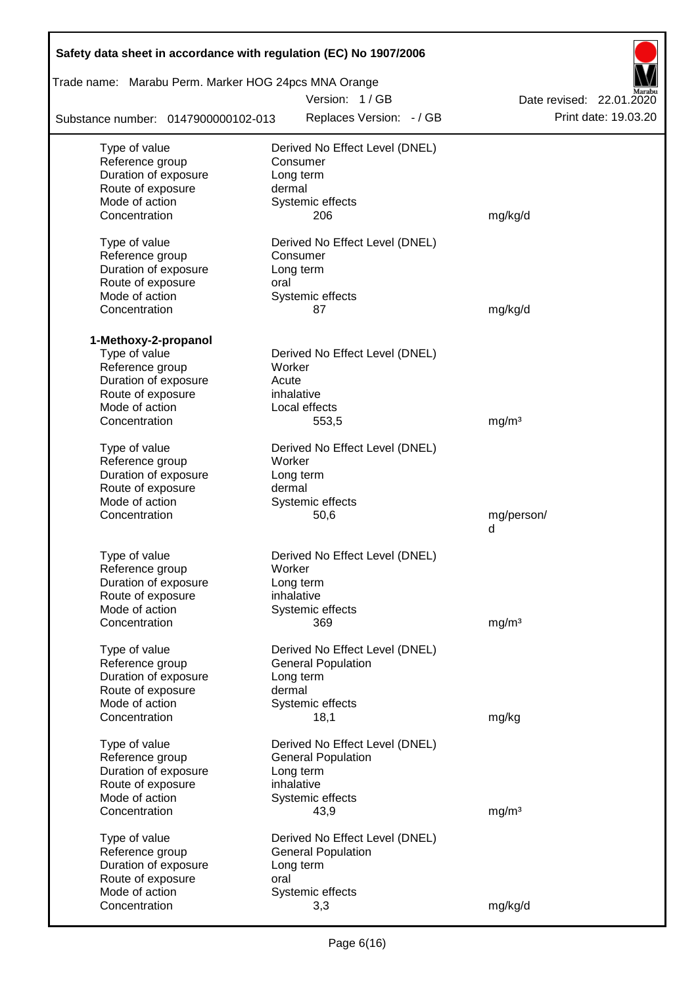| Safety data sheet in accordance with regulation (EC) No 1907/2006 |                                |                          |
|-------------------------------------------------------------------|--------------------------------|--------------------------|
| Trade name: Marabu Perm. Marker HOG 24pcs MNA Orange              |                                |                          |
|                                                                   | Version: 1/GB                  | Date revised: 22.01.2020 |
| Substance number: 0147900000102-013                               | Replaces Version: - / GB       | Print date: 19.03.20     |
| Type of value                                                     | Derived No Effect Level (DNEL) |                          |
| Reference group                                                   | Consumer                       |                          |
| Duration of exposure                                              | Long term                      |                          |
| Route of exposure                                                 | dermal                         |                          |
| Mode of action                                                    | Systemic effects               |                          |
| Concentration                                                     | 206                            | mg/kg/d                  |
| Type of value                                                     | Derived No Effect Level (DNEL) |                          |
| Reference group                                                   | Consumer                       |                          |
| Duration of exposure                                              | Long term                      |                          |
| Route of exposure                                                 | oral                           |                          |
| Mode of action                                                    | Systemic effects               |                          |
| Concentration                                                     | 87                             | mg/kg/d                  |
| 1-Methoxy-2-propanol                                              |                                |                          |
| Type of value                                                     | Derived No Effect Level (DNEL) |                          |
| Reference group                                                   | Worker                         |                          |
| Duration of exposure                                              | Acute                          |                          |
| Route of exposure                                                 | inhalative                     |                          |
| Mode of action                                                    | Local effects                  |                          |
| Concentration                                                     | 553,5                          | mg/m <sup>3</sup>        |
| Type of value                                                     | Derived No Effect Level (DNEL) |                          |
| Reference group                                                   | Worker                         |                          |
| Duration of exposure                                              | Long term                      |                          |
| Route of exposure                                                 | dermal                         |                          |
| Mode of action                                                    | Systemic effects               |                          |
| Concentration                                                     | 50,6                           | mg/person/               |
|                                                                   |                                | d                        |
| Type of value                                                     | Derived No Effect Level (DNEL) |                          |
| Reference group                                                   | Worker                         |                          |
| Duration of exposure                                              | Long term                      |                          |
| Route of exposure                                                 | inhalative                     |                          |
| Mode of action                                                    | Systemic effects               |                          |
| Concentration                                                     | 369                            | mg/m <sup>3</sup>        |
| Type of value                                                     | Derived No Effect Level (DNEL) |                          |
| Reference group                                                   | <b>General Population</b>      |                          |
| Duration of exposure                                              | Long term                      |                          |
| Route of exposure                                                 | dermal                         |                          |
| Mode of action                                                    | Systemic effects               |                          |
| Concentration                                                     | 18,1                           | mg/kg                    |
| Type of value                                                     | Derived No Effect Level (DNEL) |                          |
| Reference group                                                   | <b>General Population</b>      |                          |
| Duration of exposure                                              | Long term                      |                          |
| Route of exposure                                                 | inhalative                     |                          |
| Mode of action                                                    | Systemic effects               |                          |
| Concentration                                                     | 43,9                           | mg/m <sup>3</sup>        |
| Type of value                                                     | Derived No Effect Level (DNEL) |                          |
| Reference group                                                   | <b>General Population</b>      |                          |
| Duration of exposure                                              | Long term                      |                          |
| Route of exposure                                                 | oral                           |                          |
| Mode of action                                                    | Systemic effects               |                          |
| Concentration                                                     | 3,3                            | mg/kg/d                  |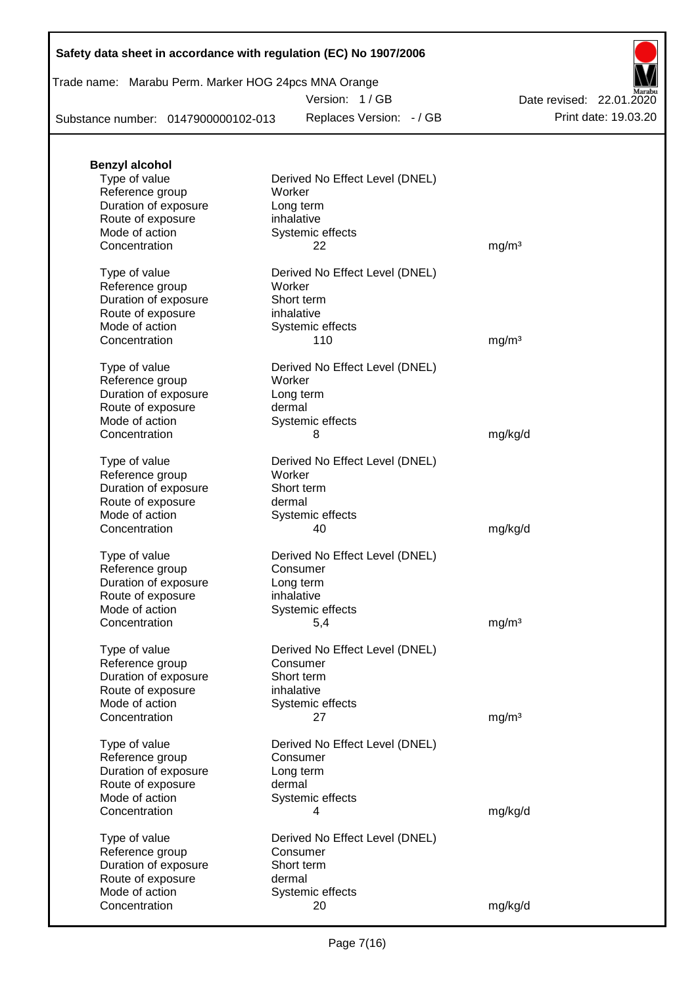### Trade name: Marabu Perm. Marker HOG 24pcs MNA Orange

Version: 1 / GB

Replaces Version: - / GB Print date: 19.03.20 Date revised: 22.01.2020

Substance number: 0147900000102-013

| <b>Benzyl alcohol</b>                     |                                          |                   |
|-------------------------------------------|------------------------------------------|-------------------|
| Type of value<br>Reference group          | Derived No Effect Level (DNEL)<br>Worker |                   |
| Duration of exposure<br>Route of exposure | Long term<br>inhalative                  |                   |
| Mode of action                            | Systemic effects                         |                   |
| Concentration                             | 22                                       | mg/m <sup>3</sup> |
| Type of value<br>Reference group          | Derived No Effect Level (DNEL)<br>Worker |                   |
| Duration of exposure                      | Short term                               |                   |
| Route of exposure                         | inhalative                               |                   |
| Mode of action                            | Systemic effects                         |                   |
| Concentration                             | 110                                      | mg/m <sup>3</sup> |
| Type of value                             | Derived No Effect Level (DNEL)           |                   |
| Reference group<br>Duration of exposure   | Worker<br>Long term                      |                   |
| Route of exposure                         | dermal                                   |                   |
| Mode of action                            | Systemic effects                         |                   |
| Concentration                             | 8                                        | mg/kg/d           |
| Type of value                             | Derived No Effect Level (DNEL)           |                   |
| Reference group                           | Worker                                   |                   |
| Duration of exposure<br>Route of exposure | Short term<br>dermal                     |                   |
| Mode of action                            | Systemic effects                         |                   |
| Concentration                             | 40                                       | mg/kg/d           |
| Type of value                             | Derived No Effect Level (DNEL)           |                   |
| Reference group                           | Consumer                                 |                   |
| Duration of exposure<br>Route of exposure | Long term<br>inhalative                  |                   |
| Mode of action                            | Systemic effects                         |                   |
| Concentration                             | 5,4                                      | mg/m <sup>3</sup> |
| Type of value                             | Derived No Effect Level (DNEL)           |                   |
| Reference group                           | Consumer                                 |                   |
| Duration of exposure<br>Route of exposure | Short term<br>inhalative                 |                   |
| Mode of action                            | Systemic effects                         |                   |
| Concentration                             | 27                                       | mg/m <sup>3</sup> |
| Type of value                             | Derived No Effect Level (DNEL)           |                   |
| Reference group                           | Consumer                                 |                   |
| Duration of exposure<br>Route of exposure | Long term<br>dermal                      |                   |
| Mode of action                            | Systemic effects                         |                   |
| Concentration                             | 4                                        | mg/kg/d           |
| Type of value                             | Derived No Effect Level (DNEL)           |                   |
| Reference group                           | Consumer                                 |                   |
| Duration of exposure                      | Short term                               |                   |
| Route of exposure<br>Mode of action       | dermal<br>Systemic effects               |                   |
| Concentration                             | 20                                       | mg/kg/d           |
|                                           |                                          |                   |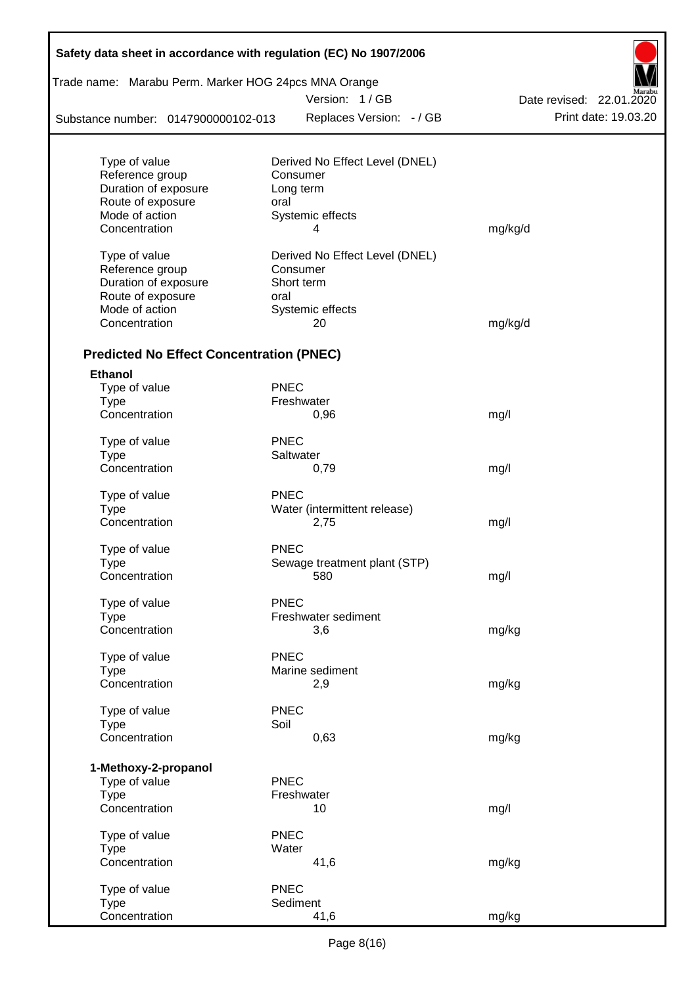| Trade name: Marabu Perm. Marker HOG 24pcs MNA Orange |             |                                |                          |
|------------------------------------------------------|-------------|--------------------------------|--------------------------|
|                                                      |             | Version: 1/GB                  | Date revised: 22.01.2020 |
| Substance number: 0147900000102-013                  |             | Replaces Version: - / GB       | Print date: 19.03.20     |
| Type of value                                        |             | Derived No Effect Level (DNEL) |                          |
| Reference group                                      |             | Consumer                       |                          |
| Duration of exposure                                 |             | Long term                      |                          |
| Route of exposure                                    | oral        |                                |                          |
| Mode of action                                       |             | Systemic effects               |                          |
| Concentration                                        |             | 4                              | mg/kg/d                  |
| Type of value                                        |             | Derived No Effect Level (DNEL) |                          |
| Reference group                                      |             | Consumer                       |                          |
| Duration of exposure                                 |             | Short term                     |                          |
| Route of exposure                                    | oral        |                                |                          |
| Mode of action                                       |             | Systemic effects               |                          |
| Concentration                                        |             | 20                             | mg/kg/d                  |
| <b>Predicted No Effect Concentration (PNEC)</b>      |             |                                |                          |
| <b>Ethanol</b>                                       |             |                                |                          |
| Type of value                                        | <b>PNEC</b> |                                |                          |
| <b>Type</b>                                          |             | Freshwater                     |                          |
| Concentration                                        |             | 0,96                           | mg/l                     |
| Type of value                                        | <b>PNEC</b> |                                |                          |
| Type                                                 |             | Saltwater                      |                          |
| Concentration                                        |             | 0,79                           | mg/l                     |
| Type of value                                        | <b>PNEC</b> |                                |                          |
| <b>Type</b>                                          |             | Water (intermittent release)   |                          |
| Concentration                                        |             | 2,75                           | mg/l                     |
| Type of value                                        | <b>PNEC</b> |                                |                          |
| Type                                                 |             | Sewage treatment plant (STP)   |                          |
| Concentration                                        |             | 580                            | mg/l                     |
| Type of value                                        | <b>PNEC</b> |                                |                          |
| Type                                                 |             | Freshwater sediment            |                          |
| Concentration                                        |             | 3,6                            | mg/kg                    |
| Type of value                                        | PNEC        |                                |                          |
| <b>Type</b>                                          |             | Marine sediment                |                          |
| Concentration                                        |             | 2,9                            | mg/kg                    |
| Type of value                                        | <b>PNEC</b> |                                |                          |
| <b>Type</b>                                          | Soil        |                                |                          |
| Concentration                                        |             | 0,63                           | mg/kg                    |
| 1-Methoxy-2-propanol                                 |             |                                |                          |
| Type of value                                        | <b>PNEC</b> |                                |                          |
| <b>Type</b>                                          |             | Freshwater                     |                          |
| Concentration                                        |             | 10                             | mg/l                     |
| Type of value                                        | <b>PNEC</b> |                                |                          |
| <b>Type</b>                                          | Water       |                                |                          |
| Concentration                                        |             | 41,6                           | mg/kg                    |
| Type of value                                        | <b>PNEC</b> |                                |                          |
| Type                                                 |             | Sediment                       |                          |
| Concentration                                        |             | 41,6                           | mg/kg                    |

Г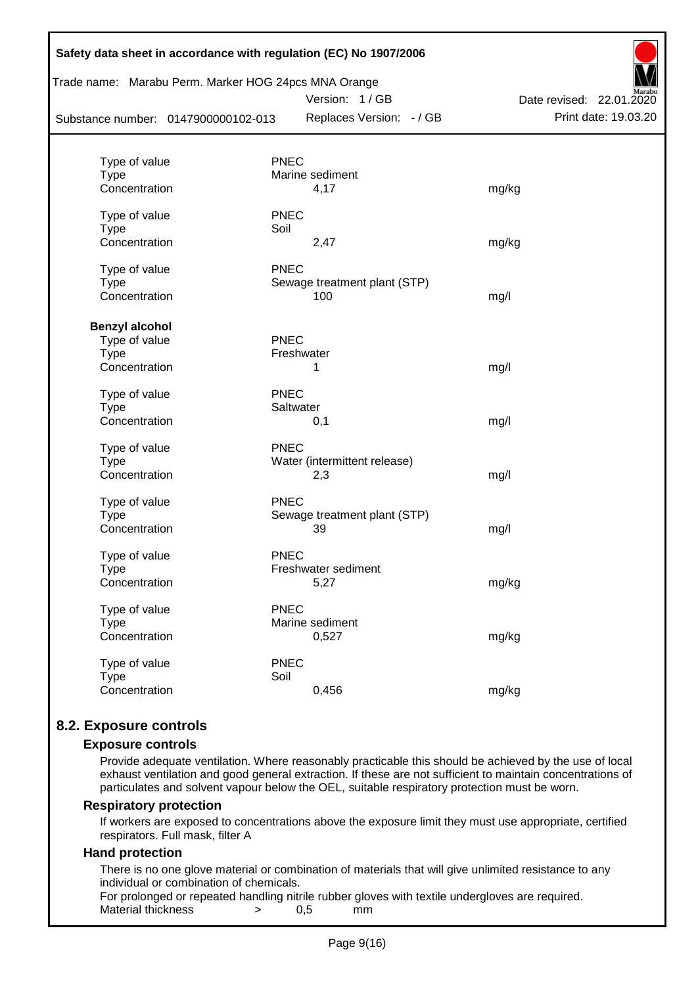| Trade name: Marabu Perm. Marker HOG 24pcs MNA Orange<br>Substance number: 0147900000102-013 | Date revised: 22.01.2020<br>Print date: 19.03.20 |       |
|---------------------------------------------------------------------------------------------|--------------------------------------------------|-------|
|                                                                                             | Replaces Version: - / GB                         |       |
| Type of value                                                                               | <b>PNEC</b>                                      |       |
| <b>Type</b>                                                                                 | Marine sediment                                  |       |
| Concentration                                                                               | 4,17                                             | mg/kg |
| Type of value                                                                               | <b>PNEC</b>                                      |       |
| <b>Type</b>                                                                                 | Soil                                             |       |
| Concentration                                                                               | 2,47                                             | mg/kg |
| Type of value                                                                               | <b>PNEC</b>                                      |       |
| <b>Type</b>                                                                                 | Sewage treatment plant (STP)                     |       |
| Concentration                                                                               | 100                                              | mg/l  |
| <b>Benzyl alcohol</b>                                                                       |                                                  |       |
| Type of value                                                                               | <b>PNEC</b>                                      |       |
| <b>Type</b>                                                                                 | Freshwater                                       |       |
| Concentration                                                                               | 1                                                | mg/l  |
| Type of value                                                                               | <b>PNEC</b>                                      |       |
| <b>Type</b>                                                                                 | Saltwater                                        |       |
| Concentration                                                                               | 0,1                                              | mg/l  |
| Type of value                                                                               | <b>PNEC</b>                                      |       |
| <b>Type</b>                                                                                 | Water (intermittent release)                     |       |
| Concentration                                                                               | 2,3                                              | mg/l  |
| Type of value                                                                               | <b>PNEC</b>                                      |       |
| Type                                                                                        | Sewage treatment plant (STP)                     |       |
| Concentration                                                                               | 39                                               | mg/l  |
| Type of value                                                                               | <b>PNEC</b>                                      |       |
| <b>Type</b>                                                                                 | Freshwater sediment                              |       |
| Concentration                                                                               | 5,27                                             | mg/kg |
| Type of value                                                                               | <b>PNEC</b>                                      |       |
| <b>Type</b>                                                                                 | Marine sediment                                  |       |
| Concentration                                                                               | 0,527                                            | mg/kg |
| Type of value                                                                               | <b>PNEC</b>                                      |       |
| <b>Type</b>                                                                                 | Soil                                             |       |
| Concentration                                                                               | 0,456                                            | mg/kg |

### **8.2. Exposure controls**

#### **Exposure controls**

Provide adequate ventilation. Where reasonably practicable this should be achieved by the use of local exhaust ventilation and good general extraction. If these are not sufficient to maintain concentrations of particulates and solvent vapour below the OEL, suitable respiratory protection must be worn.

#### **Respiratory protection**

If workers are exposed to concentrations above the exposure limit they must use appropriate, certified respirators. Full mask, filter A

#### **Hand protection**

There is no one glove material or combination of materials that will give unlimited resistance to any individual or combination of chemicals.

For prolonged or repeated handling nitrile rubber gloves with textile undergloves are required. Material thickness  $\rightarrow$  0,5 mm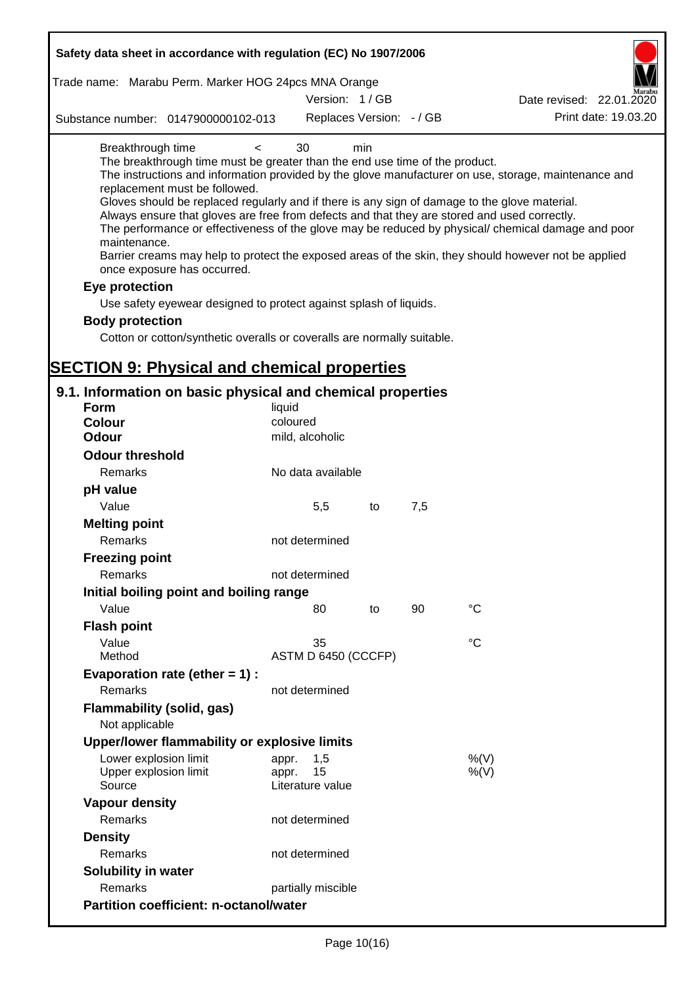| Safety data sheet in accordance with regulation (EC) No 1907/2006                                                                                                                                                                                                                                                                                                                            |                                                 |     |     |                                                                                                                                                                                                                                                                                                                    |
|----------------------------------------------------------------------------------------------------------------------------------------------------------------------------------------------------------------------------------------------------------------------------------------------------------------------------------------------------------------------------------------------|-------------------------------------------------|-----|-----|--------------------------------------------------------------------------------------------------------------------------------------------------------------------------------------------------------------------------------------------------------------------------------------------------------------------|
| Trade name: Marabu Perm. Marker HOG 24pcs MNA Orange                                                                                                                                                                                                                                                                                                                                         | Version: 1/GB                                   |     |     | Date revised: 22.01.2020                                                                                                                                                                                                                                                                                           |
| Substance number: 0147900000102-013                                                                                                                                                                                                                                                                                                                                                          | Replaces Version: - / GB                        |     |     | Print date: 19.03.20                                                                                                                                                                                                                                                                                               |
|                                                                                                                                                                                                                                                                                                                                                                                              |                                                 |     |     |                                                                                                                                                                                                                                                                                                                    |
| Breakthrough time<br>$\prec$<br>The breakthrough time must be greater than the end use time of the product.<br>replacement must be followed.<br>Gloves should be replaced regularly and if there is any sign of damage to the glove material.<br>Always ensure that gloves are free from defects and that they are stored and used correctly.<br>maintenance.<br>once exposure has occurred. | 30                                              | min |     | The instructions and information provided by the glove manufacturer on use, storage, maintenance and<br>The performance or effectiveness of the glove may be reduced by physical/ chemical damage and poor<br>Barrier creams may help to protect the exposed areas of the skin, they should however not be applied |
| Eye protection                                                                                                                                                                                                                                                                                                                                                                               |                                                 |     |     |                                                                                                                                                                                                                                                                                                                    |
| Use safety eyewear designed to protect against splash of liquids.                                                                                                                                                                                                                                                                                                                            |                                                 |     |     |                                                                                                                                                                                                                                                                                                                    |
| <b>Body protection</b>                                                                                                                                                                                                                                                                                                                                                                       |                                                 |     |     |                                                                                                                                                                                                                                                                                                                    |
| Cotton or cotton/synthetic overalls or coveralls are normally suitable.                                                                                                                                                                                                                                                                                                                      |                                                 |     |     |                                                                                                                                                                                                                                                                                                                    |
|                                                                                                                                                                                                                                                                                                                                                                                              |                                                 |     |     |                                                                                                                                                                                                                                                                                                                    |
| <b>SECTION 9: Physical and chemical properties</b>                                                                                                                                                                                                                                                                                                                                           |                                                 |     |     |                                                                                                                                                                                                                                                                                                                    |
| 9.1. Information on basic physical and chemical properties                                                                                                                                                                                                                                                                                                                                   |                                                 |     |     |                                                                                                                                                                                                                                                                                                                    |
| <b>Form</b>                                                                                                                                                                                                                                                                                                                                                                                  | liquid                                          |     |     |                                                                                                                                                                                                                                                                                                                    |
| <b>Colour</b>                                                                                                                                                                                                                                                                                                                                                                                | coloured                                        |     |     |                                                                                                                                                                                                                                                                                                                    |
| <b>Odour</b>                                                                                                                                                                                                                                                                                                                                                                                 | mild, alcoholic                                 |     |     |                                                                                                                                                                                                                                                                                                                    |
| <b>Odour threshold</b>                                                                                                                                                                                                                                                                                                                                                                       |                                                 |     |     |                                                                                                                                                                                                                                                                                                                    |
| Remarks                                                                                                                                                                                                                                                                                                                                                                                      | No data available                               |     |     |                                                                                                                                                                                                                                                                                                                    |
| pH value                                                                                                                                                                                                                                                                                                                                                                                     |                                                 |     |     |                                                                                                                                                                                                                                                                                                                    |
| Value                                                                                                                                                                                                                                                                                                                                                                                        | 5,5                                             | to  | 7,5 |                                                                                                                                                                                                                                                                                                                    |
| <b>Melting point</b>                                                                                                                                                                                                                                                                                                                                                                         |                                                 |     |     |                                                                                                                                                                                                                                                                                                                    |
| Remarks                                                                                                                                                                                                                                                                                                                                                                                      | not determined                                  |     |     |                                                                                                                                                                                                                                                                                                                    |
| <b>Freezing point</b>                                                                                                                                                                                                                                                                                                                                                                        |                                                 |     |     |                                                                                                                                                                                                                                                                                                                    |
| Remarks                                                                                                                                                                                                                                                                                                                                                                                      | not determined                                  |     |     |                                                                                                                                                                                                                                                                                                                    |
| Initial boiling point and boiling range                                                                                                                                                                                                                                                                                                                                                      |                                                 |     |     |                                                                                                                                                                                                                                                                                                                    |
| Value                                                                                                                                                                                                                                                                                                                                                                                        | 80                                              | to  | 90  | $^{\circ}C$                                                                                                                                                                                                                                                                                                        |
| <b>Flash point</b>                                                                                                                                                                                                                                                                                                                                                                           |                                                 |     |     |                                                                                                                                                                                                                                                                                                                    |
| Value                                                                                                                                                                                                                                                                                                                                                                                        | 35                                              |     |     | $^{\circ}C$                                                                                                                                                                                                                                                                                                        |
| Method                                                                                                                                                                                                                                                                                                                                                                                       | ASTM D 6450 (CCCFP)                             |     |     |                                                                                                                                                                                                                                                                                                                    |
| Evaporation rate (ether $= 1$ ) :                                                                                                                                                                                                                                                                                                                                                            |                                                 |     |     |                                                                                                                                                                                                                                                                                                                    |
| Remarks                                                                                                                                                                                                                                                                                                                                                                                      | not determined                                  |     |     |                                                                                                                                                                                                                                                                                                                    |
| <b>Flammability (solid, gas)</b>                                                                                                                                                                                                                                                                                                                                                             |                                                 |     |     |                                                                                                                                                                                                                                                                                                                    |
| Not applicable                                                                                                                                                                                                                                                                                                                                                                               |                                                 |     |     |                                                                                                                                                                                                                                                                                                                    |
| Upper/lower flammability or explosive limits                                                                                                                                                                                                                                                                                                                                                 |                                                 |     |     |                                                                                                                                                                                                                                                                                                                    |
| Lower explosion limit<br>Upper explosion limit<br>Source                                                                                                                                                                                                                                                                                                                                     | 1,5<br>appr.<br>15<br>appr.<br>Literature value |     |     | %(V)<br>%(V)                                                                                                                                                                                                                                                                                                       |
| <b>Vapour density</b>                                                                                                                                                                                                                                                                                                                                                                        |                                                 |     |     |                                                                                                                                                                                                                                                                                                                    |
| Remarks                                                                                                                                                                                                                                                                                                                                                                                      | not determined                                  |     |     |                                                                                                                                                                                                                                                                                                                    |
| <b>Density</b>                                                                                                                                                                                                                                                                                                                                                                               |                                                 |     |     |                                                                                                                                                                                                                                                                                                                    |
| Remarks                                                                                                                                                                                                                                                                                                                                                                                      | not determined                                  |     |     |                                                                                                                                                                                                                                                                                                                    |
| Solubility in water                                                                                                                                                                                                                                                                                                                                                                          |                                                 |     |     |                                                                                                                                                                                                                                                                                                                    |
| Remarks                                                                                                                                                                                                                                                                                                                                                                                      | partially miscible                              |     |     |                                                                                                                                                                                                                                                                                                                    |
| <b>Partition coefficient: n-octanol/water</b>                                                                                                                                                                                                                                                                                                                                                |                                                 |     |     |                                                                                                                                                                                                                                                                                                                    |
|                                                                                                                                                                                                                                                                                                                                                                                              |                                                 |     |     |                                                                                                                                                                                                                                                                                                                    |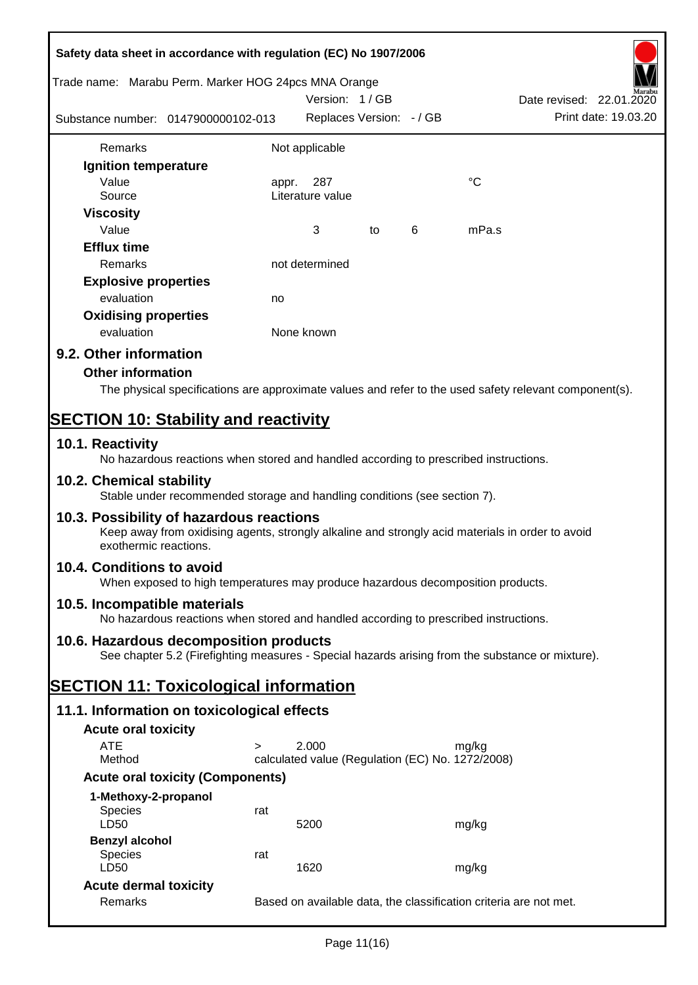| Safety data sheet in accordance with regulation (EC) No 1907/2006                                                                                                     |        |                                                  |    |   |                                                                                                        |
|-----------------------------------------------------------------------------------------------------------------------------------------------------------------------|--------|--------------------------------------------------|----|---|--------------------------------------------------------------------------------------------------------|
| Trade name: Marabu Perm. Marker HOG 24pcs MNA Orange                                                                                                                  |        | Version: 1/GB                                    |    |   | Date revised: 22.01.2020                                                                               |
| Substance number: 0147900000102-013                                                                                                                                   |        | Replaces Version: - / GB                         |    |   | Print date: 19.03.20                                                                                   |
| Remarks                                                                                                                                                               |        | Not applicable                                   |    |   |                                                                                                        |
| Ignition temperature                                                                                                                                                  |        |                                                  |    |   |                                                                                                        |
| Value                                                                                                                                                                 |        | appr. 287                                        |    |   | $^{\circ}C$                                                                                            |
| Source                                                                                                                                                                |        | Literature value                                 |    |   |                                                                                                        |
| <b>Viscosity</b>                                                                                                                                                      |        |                                                  |    |   |                                                                                                        |
| Value                                                                                                                                                                 |        | 3                                                | to | 6 | mPa.s                                                                                                  |
| <b>Efflux time</b>                                                                                                                                                    |        |                                                  |    |   |                                                                                                        |
| Remarks                                                                                                                                                               |        | not determined                                   |    |   |                                                                                                        |
| <b>Explosive properties</b>                                                                                                                                           |        |                                                  |    |   |                                                                                                        |
| evaluation                                                                                                                                                            | no     |                                                  |    |   |                                                                                                        |
| <b>Oxidising properties</b>                                                                                                                                           |        |                                                  |    |   |                                                                                                        |
| evaluation                                                                                                                                                            |        | None known                                       |    |   |                                                                                                        |
| 9.2. Other information                                                                                                                                                |        |                                                  |    |   |                                                                                                        |
| <b>Other information</b>                                                                                                                                              |        |                                                  |    |   |                                                                                                        |
|                                                                                                                                                                       |        |                                                  |    |   | The physical specifications are approximate values and refer to the used safety relevant component(s). |
| <b>SECTION 10: Stability and reactivity</b>                                                                                                                           |        |                                                  |    |   |                                                                                                        |
| 10.1. Reactivity                                                                                                                                                      |        |                                                  |    |   |                                                                                                        |
| No hazardous reactions when stored and handled according to prescribed instructions.<br>10.2. Chemical stability                                                      |        |                                                  |    |   |                                                                                                        |
| Stable under recommended storage and handling conditions (see section 7).                                                                                             |        |                                                  |    |   |                                                                                                        |
| 10.3. Possibility of hazardous reactions<br>Keep away from oxidising agents, strongly alkaline and strongly acid materials in order to avoid<br>exothermic reactions. |        |                                                  |    |   |                                                                                                        |
| 10.4. Conditions to avoid<br>When exposed to high temperatures may produce hazardous decomposition products.                                                          |        |                                                  |    |   |                                                                                                        |
| 10.5. Incompatible materials<br>No hazardous reactions when stored and handled according to prescribed instructions.                                                  |        |                                                  |    |   |                                                                                                        |
| 10.6. Hazardous decomposition products<br>See chapter 5.2 (Firefighting measures - Special hazards arising from the substance or mixture).                            |        |                                                  |    |   |                                                                                                        |
| <b>SECTION 11: Toxicological information</b>                                                                                                                          |        |                                                  |    |   |                                                                                                        |
| 11.1. Information on toxicological effects                                                                                                                            |        |                                                  |    |   |                                                                                                        |
| <b>Acute oral toxicity</b>                                                                                                                                            |        |                                                  |    |   |                                                                                                        |
| <b>ATE</b>                                                                                                                                                            | $\geq$ | 2.000                                            |    |   | mg/kg                                                                                                  |
| Method                                                                                                                                                                |        | calculated value (Regulation (EC) No. 1272/2008) |    |   |                                                                                                        |
| <b>Acute oral toxicity (Components)</b>                                                                                                                               |        |                                                  |    |   |                                                                                                        |
| 1-Methoxy-2-propanol                                                                                                                                                  |        |                                                  |    |   |                                                                                                        |
| <b>Species</b><br>LD50                                                                                                                                                | rat    | 5200                                             |    |   | mg/kg                                                                                                  |
| <b>Benzyl alcohol</b>                                                                                                                                                 |        |                                                  |    |   |                                                                                                        |
| <b>Species</b>                                                                                                                                                        | rat    |                                                  |    |   |                                                                                                        |
| LD50                                                                                                                                                                  |        | 1620                                             |    |   | mg/kg                                                                                                  |
| <b>Acute dermal toxicity</b>                                                                                                                                          |        |                                                  |    |   |                                                                                                        |
| Remarks                                                                                                                                                               |        |                                                  |    |   | Based on available data, the classification criteria are not met.                                      |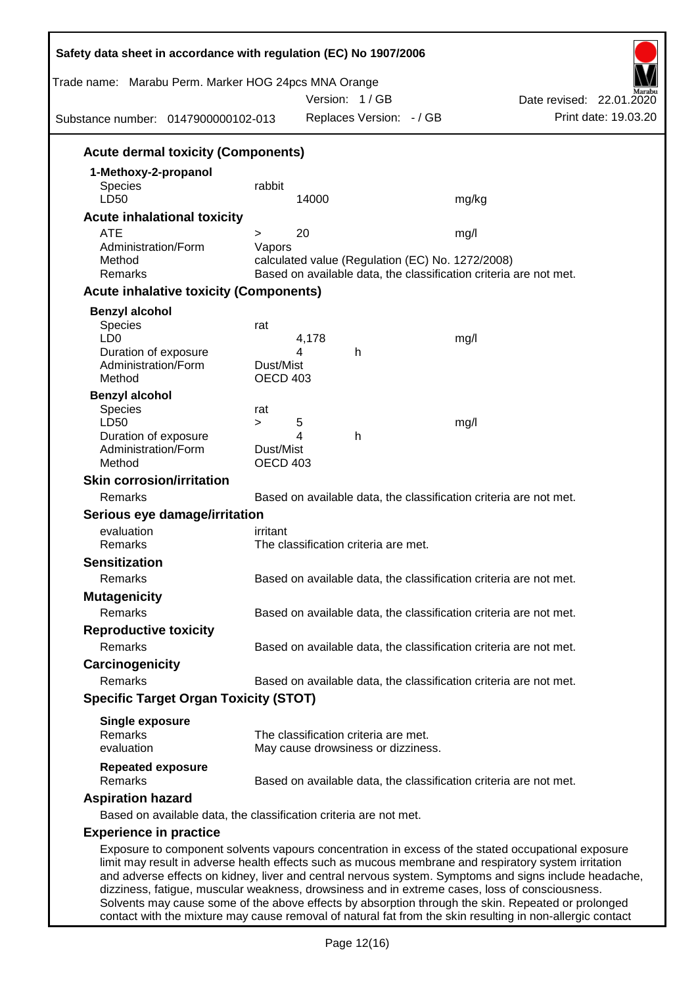| Trade name: Marabu Perm. Marker HOG 24pcs MNA Orange<br>Substance number: 0147900000102-013 |                                        | Version: 1/GB                        | Replaces Version: - / GB | Date revised: 22.01.2020<br>Print date: 19.03.20                                                                                                                                                                                                                                                                                                                                                                      |
|---------------------------------------------------------------------------------------------|----------------------------------------|--------------------------------------|--------------------------|-----------------------------------------------------------------------------------------------------------------------------------------------------------------------------------------------------------------------------------------------------------------------------------------------------------------------------------------------------------------------------------------------------------------------|
|                                                                                             |                                        |                                      |                          |                                                                                                                                                                                                                                                                                                                                                                                                                       |
| <b>Acute dermal toxicity (Components)</b>                                                   |                                        |                                      |                          |                                                                                                                                                                                                                                                                                                                                                                                                                       |
| 1-Methoxy-2-propanol<br><b>Species</b><br>LD50                                              | rabbit                                 | 14000                                |                          | mg/kg                                                                                                                                                                                                                                                                                                                                                                                                                 |
| <b>Acute inhalational toxicity</b>                                                          |                                        |                                      |                          |                                                                                                                                                                                                                                                                                                                                                                                                                       |
| <b>ATE</b>                                                                                  | >                                      | 20                                   |                          | mg/l                                                                                                                                                                                                                                                                                                                                                                                                                  |
| Administration/Form<br>Method<br>Remarks                                                    | Vapors                                 |                                      |                          | calculated value (Regulation (EC) No. 1272/2008)<br>Based on available data, the classification criteria are not met.                                                                                                                                                                                                                                                                                                 |
| <b>Acute inhalative toxicity (Components)</b>                                               |                                        |                                      |                          |                                                                                                                                                                                                                                                                                                                                                                                                                       |
| <b>Benzyl alcohol</b>                                                                       |                                        |                                      |                          |                                                                                                                                                                                                                                                                                                                                                                                                                       |
| Species<br>LD <sub>0</sub><br>Duration of exposure                                          | rat                                    | 4,178<br>4<br>h                      |                          | mg/l                                                                                                                                                                                                                                                                                                                                                                                                                  |
| Administration/Form<br>Method                                                               | Dust/Mist<br><b>OECD 403</b>           |                                      |                          |                                                                                                                                                                                                                                                                                                                                                                                                                       |
| <b>Benzyl alcohol</b><br>Species<br>LD50                                                    | rat                                    |                                      |                          |                                                                                                                                                                                                                                                                                                                                                                                                                       |
| Duration of exposure<br>Administration/Form<br>Method                                       | $\geq$<br>Dust/Mist<br><b>OECD 403</b> | 5<br>4<br>h                          |                          | mg/l                                                                                                                                                                                                                                                                                                                                                                                                                  |
| <b>Skin corrosion/irritation</b>                                                            |                                        |                                      |                          |                                                                                                                                                                                                                                                                                                                                                                                                                       |
| Remarks                                                                                     |                                        |                                      |                          | Based on available data, the classification criteria are not met.                                                                                                                                                                                                                                                                                                                                                     |
| Serious eye damage/irritation                                                               |                                        |                                      |                          |                                                                                                                                                                                                                                                                                                                                                                                                                       |
| evaluation<br>Remarks                                                                       | irritant                               | The classification criteria are met. |                          |                                                                                                                                                                                                                                                                                                                                                                                                                       |
| <b>Sensitization</b>                                                                        |                                        |                                      |                          |                                                                                                                                                                                                                                                                                                                                                                                                                       |
| Remarks                                                                                     |                                        |                                      |                          | Based on available data, the classification criteria are not met.                                                                                                                                                                                                                                                                                                                                                     |
| <b>Mutagenicity</b>                                                                         |                                        |                                      |                          |                                                                                                                                                                                                                                                                                                                                                                                                                       |
| Remarks                                                                                     |                                        |                                      |                          | Based on available data, the classification criteria are not met.                                                                                                                                                                                                                                                                                                                                                     |
| <b>Reproductive toxicity</b>                                                                |                                        |                                      |                          |                                                                                                                                                                                                                                                                                                                                                                                                                       |
| Remarks                                                                                     |                                        |                                      |                          | Based on available data, the classification criteria are not met.                                                                                                                                                                                                                                                                                                                                                     |
| Carcinogenicity                                                                             |                                        |                                      |                          |                                                                                                                                                                                                                                                                                                                                                                                                                       |
| Remarks                                                                                     |                                        |                                      |                          | Based on available data, the classification criteria are not met.                                                                                                                                                                                                                                                                                                                                                     |
| <b>Specific Target Organ Toxicity (STOT)</b>                                                |                                        |                                      |                          |                                                                                                                                                                                                                                                                                                                                                                                                                       |
| <b>Single exposure</b><br>Remarks                                                           |                                        | The classification criteria are met. |                          |                                                                                                                                                                                                                                                                                                                                                                                                                       |
| evaluation                                                                                  |                                        | May cause drowsiness or dizziness.   |                          |                                                                                                                                                                                                                                                                                                                                                                                                                       |
| <b>Repeated exposure</b><br>Remarks                                                         |                                        |                                      |                          | Based on available data, the classification criteria are not met.                                                                                                                                                                                                                                                                                                                                                     |
| <b>Aspiration hazard</b>                                                                    |                                        |                                      |                          |                                                                                                                                                                                                                                                                                                                                                                                                                       |
| Based on available data, the classification criteria are not met.                           |                                        |                                      |                          |                                                                                                                                                                                                                                                                                                                                                                                                                       |
| <b>Experience in practice</b>                                                               |                                        |                                      |                          |                                                                                                                                                                                                                                                                                                                                                                                                                       |
|                                                                                             |                                        |                                      |                          | Exposure to component solvents vapours concentration in excess of the stated occupational exposure<br>limit may result in adverse health effects such as mucous membrane and respiratory system irritation<br>and adverse effects on kidney, liver and central nervous system. Symptoms and signs include headache,<br>dizziness, fatigue, muscular weakness, drowsiness and in extreme cases, loss of consciousness. |

Solvents may cause some of the above effects by absorption through the skin. Repeated or prolonged contact with the mixture may cause removal of natural fat from the skin resulting in non-allergic contact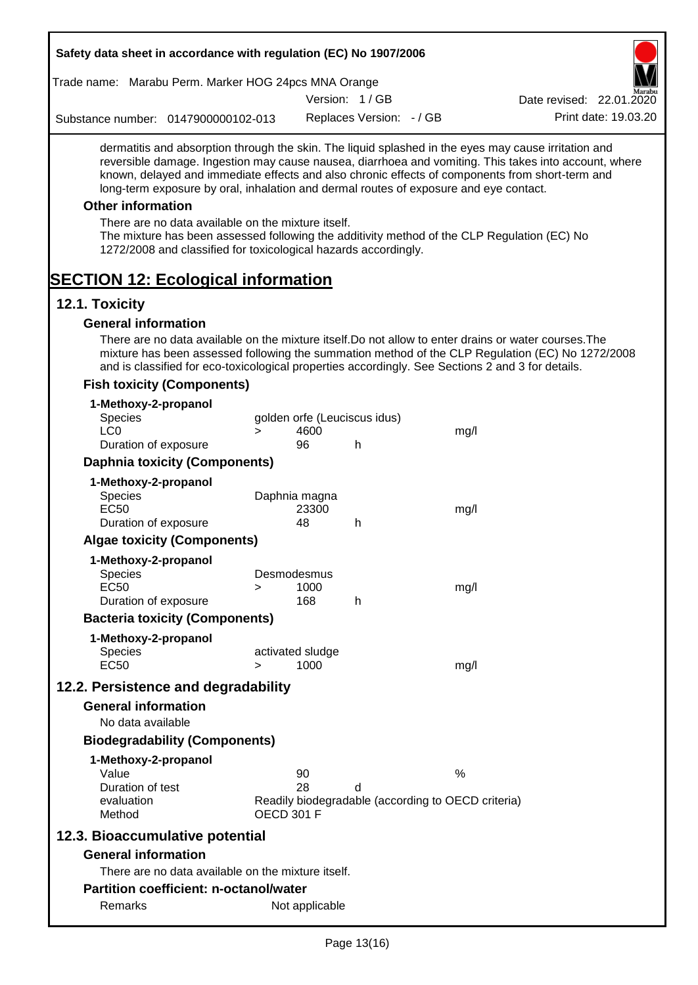| Safety data sheet in accordance with regulation (EC) No 1907/2006                                                                                                                                                                                                                                                                                                                                                                                                                                                                                    |                   |                                            |                          |                                                            |                                                                                                       |
|------------------------------------------------------------------------------------------------------------------------------------------------------------------------------------------------------------------------------------------------------------------------------------------------------------------------------------------------------------------------------------------------------------------------------------------------------------------------------------------------------------------------------------------------------|-------------------|--------------------------------------------|--------------------------|------------------------------------------------------------|-------------------------------------------------------------------------------------------------------|
| Trade name: Marabu Perm. Marker HOG 24pcs MNA Orange                                                                                                                                                                                                                                                                                                                                                                                                                                                                                                 |                   |                                            |                          |                                                            |                                                                                                       |
|                                                                                                                                                                                                                                                                                                                                                                                                                                                                                                                                                      |                   |                                            | Version: 1/GB            |                                                            | Date revised: 22.01.2020                                                                              |
| Substance number: 0147900000102-013                                                                                                                                                                                                                                                                                                                                                                                                                                                                                                                  |                   |                                            | Replaces Version: - / GB |                                                            | Print date: 19.03.20                                                                                  |
| dermatitis and absorption through the skin. The liquid splashed in the eyes may cause irritation and<br>known, delayed and immediate effects and also chronic effects of components from short-term and<br>long-term exposure by oral, inhalation and dermal routes of exposure and eye contact.<br><b>Other information</b><br>There are no data available on the mixture itself.<br>The mixture has been assessed following the additivity method of the CLP Regulation (EC) No<br>1272/2008 and classified for toxicological hazards accordingly. |                   |                                            |                          |                                                            | reversible damage. Ingestion may cause nausea, diarrhoea and vomiting. This takes into account, where |
| <b>SECTION 12: Ecological information</b>                                                                                                                                                                                                                                                                                                                                                                                                                                                                                                            |                   |                                            |                          |                                                            |                                                                                                       |
| 12.1. Toxicity                                                                                                                                                                                                                                                                                                                                                                                                                                                                                                                                       |                   |                                            |                          |                                                            |                                                                                                       |
| <b>General information</b><br>There are no data available on the mixture itself. Do not allow to enter drains or water courses. The<br>and is classified for eco-toxicological properties accordingly. See Sections 2 and 3 for details.                                                                                                                                                                                                                                                                                                             |                   |                                            |                          |                                                            | mixture has been assessed following the summation method of the CLP Regulation (EC) No 1272/2008      |
| <b>Fish toxicity (Components)</b>                                                                                                                                                                                                                                                                                                                                                                                                                                                                                                                    |                   |                                            |                          |                                                            |                                                                                                       |
| 1-Methoxy-2-propanol<br>Species<br>LC <sub>0</sub><br>Duration of exposure                                                                                                                                                                                                                                                                                                                                                                                                                                                                           | $\geq$            | golden orfe (Leuciscus idus)<br>4600<br>96 | h                        | mg/l                                                       |                                                                                                       |
| <b>Daphnia toxicity (Components)</b>                                                                                                                                                                                                                                                                                                                                                                                                                                                                                                                 |                   |                                            |                          |                                                            |                                                                                                       |
| 1-Methoxy-2-propanol<br>Species<br><b>EC50</b>                                                                                                                                                                                                                                                                                                                                                                                                                                                                                                       |                   | Daphnia magna<br>23300                     |                          | mg/l                                                       |                                                                                                       |
| Duration of exposure                                                                                                                                                                                                                                                                                                                                                                                                                                                                                                                                 |                   | 48                                         | h                        |                                                            |                                                                                                       |
| <b>Algae toxicity (Components)</b>                                                                                                                                                                                                                                                                                                                                                                                                                                                                                                                   |                   |                                            |                          |                                                            |                                                                                                       |
| 1-Methoxy-2-propanol<br><b>Species</b><br><b>EC50</b><br>Duration of exposure                                                                                                                                                                                                                                                                                                                                                                                                                                                                        | >                 | Desmodesmus<br>1000<br>168                 | h                        | mg/l                                                       |                                                                                                       |
| <b>Bacteria toxicity (Components)</b>                                                                                                                                                                                                                                                                                                                                                                                                                                                                                                                |                   |                                            |                          |                                                            |                                                                                                       |
| 1-Methoxy-2-propanol<br><b>Species</b>                                                                                                                                                                                                                                                                                                                                                                                                                                                                                                               |                   | activated sludge                           |                          |                                                            |                                                                                                       |
| <b>EC50</b>                                                                                                                                                                                                                                                                                                                                                                                                                                                                                                                                          | $\geq$            | 1000                                       |                          | mg/l                                                       |                                                                                                       |
| 12.2. Persistence and degradability<br><b>General information</b><br>No data available                                                                                                                                                                                                                                                                                                                                                                                                                                                               |                   |                                            |                          |                                                            |                                                                                                       |
| <b>Biodegradability (Components)</b>                                                                                                                                                                                                                                                                                                                                                                                                                                                                                                                 |                   |                                            |                          |                                                            |                                                                                                       |
| 1-Methoxy-2-propanol<br>Value<br>Duration of test<br>evaluation<br>Method                                                                                                                                                                                                                                                                                                                                                                                                                                                                            | <b>OECD 301 F</b> | 90<br>28                                   | d                        | $\%$<br>Readily biodegradable (according to OECD criteria) |                                                                                                       |
| 12.3. Bioaccumulative potential                                                                                                                                                                                                                                                                                                                                                                                                                                                                                                                      |                   |                                            |                          |                                                            |                                                                                                       |
| <b>General information</b>                                                                                                                                                                                                                                                                                                                                                                                                                                                                                                                           |                   |                                            |                          |                                                            |                                                                                                       |
| There are no data available on the mixture itself.                                                                                                                                                                                                                                                                                                                                                                                                                                                                                                   |                   |                                            |                          |                                                            |                                                                                                       |
| <b>Partition coefficient: n-octanol/water</b>                                                                                                                                                                                                                                                                                                                                                                                                                                                                                                        |                   |                                            |                          |                                                            |                                                                                                       |
| Remarks                                                                                                                                                                                                                                                                                                                                                                                                                                                                                                                                              |                   | Not applicable                             |                          |                                                            |                                                                                                       |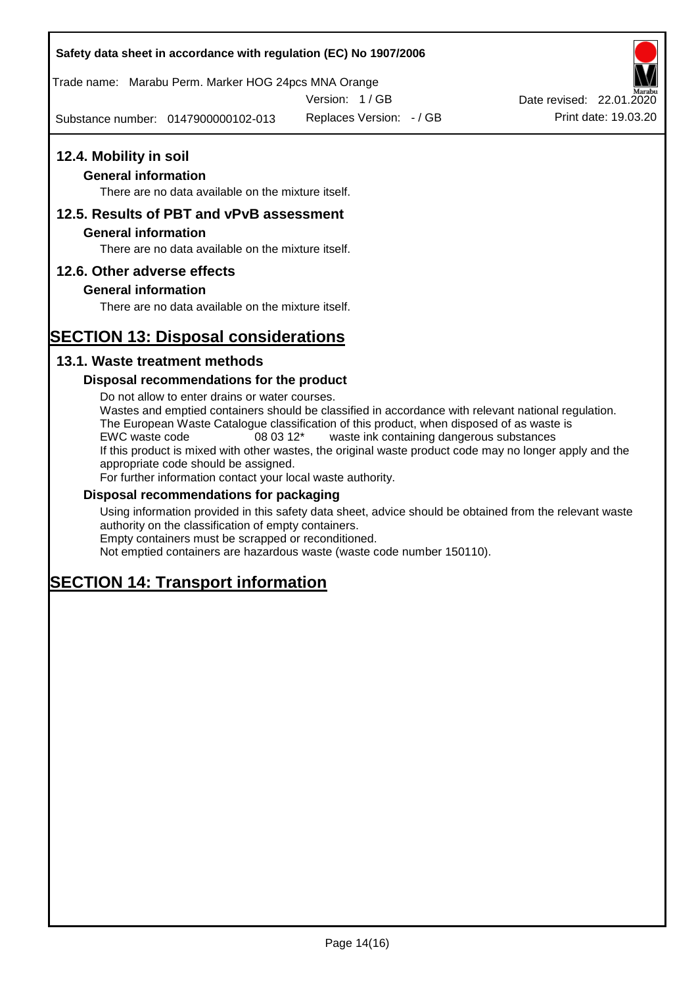Trade name: Marabu Perm. Marker HOG 24pcs MNA Orange

Version: 1 / GB

Substance number: 0147900000102-013

Replaces Version: - / GB Print date: 19.03.20 Date revised: 22.01.2020

# **12.4. Mobility in soil**

### **General information**

There are no data available on the mixture itself.

### **12.5. Results of PBT and vPvB assessment**

### **General information**

There are no data available on the mixture itself.

### **12.6. Other adverse effects**

### **General information**

There are no data available on the mixture itself.

# **SECTION 13: Disposal considerations**

### **13.1. Waste treatment methods**

### **Disposal recommendations for the product**

Do not allow to enter drains or water courses. Wastes and emptied containers should be classified in accordance with relevant national regulation. The European Waste Catalogue classification of this product, when disposed of as waste is EWC waste code 08 03 12\* waste ink containing dangerous substances If this product is mixed with other wastes, the original waste product code may no longer apply and the appropriate code should be assigned. For further information contact your local waste authority.

#### **Disposal recommendations for packaging**

Using information provided in this safety data sheet, advice should be obtained from the relevant waste authority on the classification of empty containers. Empty containers must be scrapped or reconditioned.

Not emptied containers are hazardous waste (waste code number 150110).

# **SECTION 14: Transport information**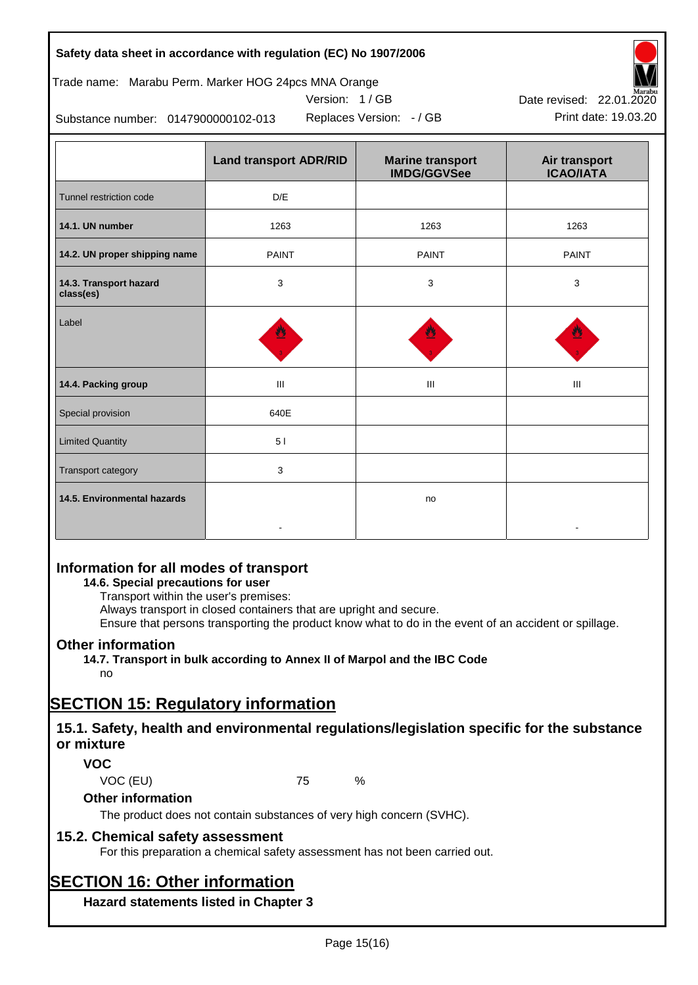| Safety data sheet in accordance with regulation (EC) No 1907/2006 |  |
|-------------------------------------------------------------------|--|
|-------------------------------------------------------------------|--|

### Trade name: Marabu Perm. Marker HOG 24pcs MNA Orange

Version: 1 / GB

Replaces Version:  $-$  / GB Print date: 19.03.20



Substance number: 0147900000102-013

|                                     | <b>Land transport ADR/RID</b> | <b>Marine transport</b><br><b>IMDG/GGVSee</b> | Air transport<br><b>ICAO/IATA</b> |
|-------------------------------------|-------------------------------|-----------------------------------------------|-----------------------------------|
| Tunnel restriction code             | D/E                           |                                               |                                   |
| 14.1. UN number                     | 1263                          | 1263                                          | 1263                              |
| 14.2. UN proper shipping name       | <b>PAINT</b>                  | <b>PAINT</b>                                  | <b>PAINT</b>                      |
| 14.3. Transport hazard<br>class(es) | 3                             | 3                                             | 3                                 |
| Label                               |                               |                                               |                                   |
| 14.4. Packing group                 | Ш                             | Ш                                             | Ш                                 |
| Special provision                   | 640E                          |                                               |                                   |
| <b>Limited Quantity</b>             | 51                            |                                               |                                   |
| Transport category                  | 3                             |                                               |                                   |
| 14.5. Environmental hazards         |                               | no                                            |                                   |

### **Information for all modes of transport**

### **14.6. Special precautions for user**

Transport within the user's premises:

Always transport in closed containers that are upright and secure.

Ensure that persons transporting the product know what to do in the event of an accident or spillage.

### **Other information**

**14.7. Transport in bulk according to Annex II of Marpol and the IBC Code**

# no

# **SECTION 15: Regulatory information**

### **15.1. Safety, health and environmental regulations/legislation specific for the substance or mixture**

### **VOC**

VOC (EU) 75 %

#### **Other information**

The product does not contain substances of very high concern (SVHC).

### **15.2. Chemical safety assessment**

For this preparation a chemical safety assessment has not been carried out.

# **SECTION 16: Other information**

**Hazard statements listed in Chapter 3**